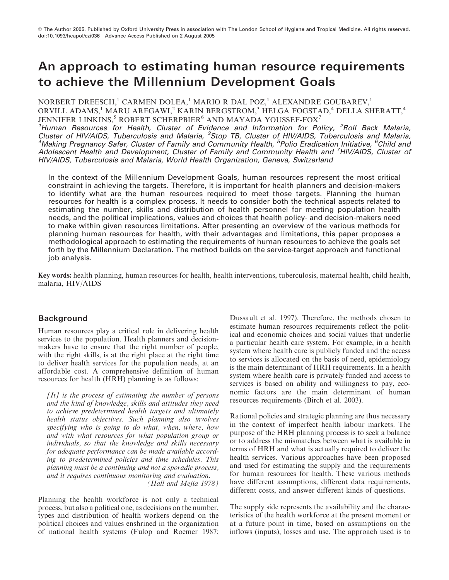# An approach to estimating human resource requirements to achieve the Millennium Development Goals

NORBERT DREESCH,<sup>1</sup> CARMEN DOLEA,<sup>1</sup> MARIO R DAL POZ,<sup>1</sup> ALEXANDRE GOUBAREV,<sup>1</sup> ORVILL ADAMS,<sup>1</sup> MARU AREGAWI,<sup>2</sup> KARIN BERGSTROM,<sup>3</sup> HELGA FOGSTAD,<sup>4</sup> DELLA SHERATT,<sup>4</sup> JENNIFER LINKINS,<sup>5</sup> ROBERT SCHERPBIER<sup>6</sup> AND MAYADA YOUSSEF-FOX<sup>7</sup>

<sup>1</sup>Human Resources for Health, Cluster of Evidence and Information for Policy, <sup>2</sup>Roll Back Malaria, Cluster of HIV/AIDS, Tuberculosis and Malaria, <sup>3</sup>Stop TB, Cluster of HIV/AIDS, Tuberculosis and Malaria, <sup>4</sup>Making Pregnancy Safer, Cluster of Family and Community Health, <sup>5</sup>Polio Eradication Initiative, <sup>6</sup>Child and Adolescent Health and Development, Cluster of Family and Community Health and <sup>7</sup>HIV/AIDS, Cluster of HIV/AIDS, Tuberculosis and Malaria, World Health Organization, Geneva, Switzerland

In the context of the Millennium Development Goals, human resources represent the most critical constraint in achieving the targets. Therefore, it is important for health planners and decision-makers to identify what are the human resources required to meet those targets. Planning the human resources for health is a complex process. It needs to consider both the technical aspects related to estimating the number, skills and distribution of health personnel for meeting population health needs, and the political implications, values and choices that health policy- and decision-makers need to make within given resources limitations. After presenting an overview of the various methods for planning human resources for health, with their advantages and limitations, this paper proposes a methodological approach to estimating the requirements of human resources to achieve the goals set forth by the Millennium Declaration. The method builds on the service-target approach and functional job analysis.

Key words: health planning, human resources for health, health interventions, tuberculosis, maternal health, child health, malaria, HIV/AIDS

# **Background**

Human resources play a critical role in delivering health services to the population. Health planners and decisionmakers have to ensure that the right number of people, with the right skills, is at the right place at the right time to deliver health services for the population needs, at an affordable cost. A comprehensive definition of human resources for health (HRH) planning is as follows:

 $[It]$  is the process of estimating the number of persons and the kind of knowledge, skills and attitudes they need to achieve predetermined health targets and ultimately health status objectives. Such planning also involves specifying who is going to do what, when, where, how and with what resources for what population group or individuals, so that the knowledge and skills necessary for adequate performance can be made available according to predetermined policies and time schedules. This planning must be a continuing and not a sporadic process, and it requires continuous monitoring and evaluation.

(Hall and Mejia 1978)

Planning the health workforce is not only a technical process, but also a political one, as decisions on the number, types and distribution of health workers depend on the political choices and values enshrined in the organization of national health systems (Fulop and Roemer 1987;

Dussault et al. 1997). Therefore, the methods chosen to estimate human resources requirements reflect the political and economic choices and social values that underlie a particular health care system. For example, in a health system where health care is publicly funded and the access to services is allocated on the basis of need, epidemiology is the main determinant of HRH requirements. In a health system where health care is privately funded and access to services is based on ability and willingness to pay, economic factors are the main determinant of human resources requirements (Birch et al. 2003).

Rational policies and strategic planning are thus necessary in the context of imperfect health labour markets. The purpose of the HRH planning process is to seek a balance or to address the mismatches between what is available in terms of HRH and what is actually required to deliver the health services. Various approaches have been proposed and used for estimating the supply and the requirements for human resources for health. These various methods have different assumptions, different data requirements, different costs, and answer different kinds of questions.

The supply side represents the availability and the characteristics of the health workforce at the present moment or at a future point in time, based on assumptions on the inflows (inputs), losses and use. The approach used is to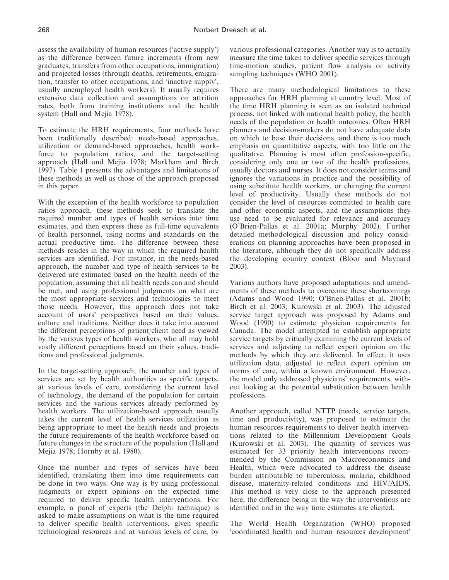assess the availability of human resources ('active supply') as the difference between future increments (from new graduates, transfers from other occupations, immigration) and projected losses (through deaths, retirements, emigration, transfer to other occupations, and 'inactive supply', usually unemployed health workers). It usually requires extensive data collection and assumptions on attrition rates, both from training institutions and the health system (Hall and Mejia 1978).

To estimate the HRH requirements, four methods have been traditionally described: needs-based approaches, utilization or demand-based approaches, health workforce to population ratios, and the target-setting approach (Hall and Mejia 1978; Markham and Birch 1997). Table 1 presents the advantages and limitations of these methods as well as those of the approach proposed in this paper.

With the exception of the health workforce to population ratios approach, these methods seek to translate the required number and types of health services into time estimates, and then express these as full-time equivalents of health personnel, using norms and standards on the actual productive time. The difference between these methods resides in the way in which the required health services are identified. For instance, in the needs-based approach, the number and type of health services to be delivered are estimated based on the health needs of the population, assuming that all health needs can and should be met, and using professional judgments on what are the most appropriate services and technologies to meet those needs. However, this approach does not take account of users' perspectives based on their values, culture and traditions. Neither does it take into account the different perceptions of patient/client need as viewed by the various types of health workers, who all may hold vastly different perceptions based on their values, traditions and professional judgments.

In the target-setting approach, the number and types of services are set by health authorities as specific targets, at various levels of care, considering the current level of technology, the demand of the population for certain services and the various services already performed by health workers. The utilization-based approach usually takes the current level of health services utilization as being appropriate to meet the health needs and projects the future requirements of the health workforce based on future changes in the structure of the population (Hall and Mejia 1978; Hornby et al. 1980).

Once the number and types of services have been identified, translating them into time requirements can be done in two ways. One way is by using professional judgments or expert opinions on the expected time required to deliver specific health interventions. For example, a panel of experts (the Delphi technique) is asked to make assumptions on what is the time required to deliver specific health interventions, given specific technological resources and at various levels of care, by

various professional categories. Another way is to actually measure the time taken to deliver specific services through time-motion studies, patient flow analysis or activity sampling techniques (WHO 2001).

There are many methodological limitations to these approaches for HRH planning at country level. Most of the time HRH planning is seen as an isolated technical process, not linked with national health policy, the health needs of the population or health outcomes. Often HRH planners and decision-makers do not have adequate data on which to base their decisions, and there is too much emphasis on quantitative aspects, with too little on the qualitative. Planning is most often profession-specific, considering only one or two of the health professions, usually doctors and nurses. It does not consider teams and ignores the variations in practice and the possibility of using substitute health workers, or changing the current level of productivity. Usually these methods do not consider the level of resources committed to health care and other economic aspects, and the assumptions they use need to be evaluated for relevance and accuracy (O'Brien-Pallas et al. 2001a; Murphy 2002). Further detailed methodological discussion and policy considerations on planning approaches have been proposed in the literature, although they do not specifically address the developing country context (Bloor and Maynard 2003).

Various authors have proposed adaptations and amendments of these methods to overcome these shortcomings (Adams and Wood 1990; O'Brien-Pallas et al. 2001b; Birch et al. 2003; Kurowski et al. 2003). The adjusted service target approach was proposed by Adams and Wood (1990) to estimate physician requirements for Canada. The model attempted to establish appropriate service targets by critically examining the current levels of services and adjusting to reflect expert opinion on the methods by which they are delivered. In effect, it uses utilization data, adjusted to reflect expert opinion on norms of care, within a known environment. However, the model only addressed physicians' requirements, without looking at the potential substitution between health professions.

Another approach, called NTTP (needs, service targets, time and productivity), was proposed to estimate the human resources requirements to deliver health interventions related to the Millennium Development Goals (Kurowski et al. 2003). The quantity of services was estimated for 33 priority health interventions recommended by the Commission on Macroeconomics and Health, which were advocated to address the disease burden attributable to tuberculosis, malaria, childhood disease, maternity-related conditions and HIV/AIDS. This method is very close to the approach presented here, the difference being in the way the interventions are identified and in the way time estimates are elicited.

The World Health Organization (WHO) proposed 'coordinated health and human resources development'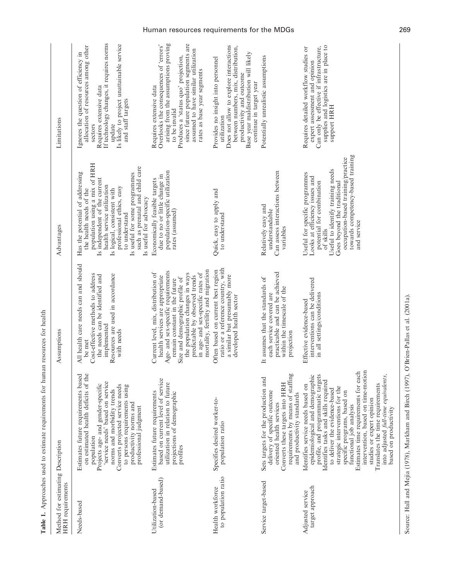| Method for estimating Description<br>HRH requirements |                                                                                                                                                                                                                                                                                                                                                                                                                                                                                                 | Assumptions                                                                                                                                                                                                                                                                                                                     | Advantages                                                                                                                                                                                                                                                                                                                            | Limitations                                                                                                                                                                                                                                                                     |
|-------------------------------------------------------|-------------------------------------------------------------------------------------------------------------------------------------------------------------------------------------------------------------------------------------------------------------------------------------------------------------------------------------------------------------------------------------------------------------------------------------------------------------------------------------------------|---------------------------------------------------------------------------------------------------------------------------------------------------------------------------------------------------------------------------------------------------------------------------------------------------------------------------------|---------------------------------------------------------------------------------------------------------------------------------------------------------------------------------------------------------------------------------------------------------------------------------------------------------------------------------------|---------------------------------------------------------------------------------------------------------------------------------------------------------------------------------------------------------------------------------------------------------------------------------|
| Needs-based                                           | on estimated health deficits of the<br>Estimates future requirements based<br>'service needs' based on service<br>Projects age- and gender-specific<br>Converts projected service needs<br>to persons requirements using<br>norms and morbidity trends<br>productivity norms and<br>professional judgment<br>population                                                                                                                                                                         | All health care needs can and should<br>Resources are used in accordance<br>Cost-effective methods to address<br>the needs can be identified and<br>implemented<br>with needs<br>be met                                                                                                                                         | population using a mix of HRH<br>such as prenatal and child care<br>Has the potential of addressing<br>Is useful for some programmes<br>Is independent of the current<br>health service utilization<br>professional ethics, easy<br>the health needs of the<br>Is logical, consistent with<br>Is useful for advocacy<br>to understand | If technology changes, it requires norms<br>Is likely to project unattainable service<br>allocation of resources among other<br>Ignores the question of efficiency in<br>Requires extensive data<br>and staff targets<br>update<br>sectors                                      |
| (or demand-based)<br>Utilization-based                | based on current level of service<br>utilization in relation to future<br>Estimates future requirements<br>projections of demographic<br>profiles                                                                                                                                                                                                                                                                                                                                               | mortality, fertility and migration<br>Age- and sex-specific requirements<br>in age- and sex-specific rates of<br>Current level, mix, distribution of<br>the population changes in ways<br>health services are appropriate<br>predictable by observed trends<br>Size and demographic profile of<br>remain constant in the future | population-specific utilization<br>due to no or little change in<br>Economically feasible targets<br>rates (assumed)                                                                                                                                                                                                                  | arising from the assumptions proving<br>since future population segments are<br>Overlooks the consequences of 'errors'<br>assumed to have similar utilization<br>Produces a 'status quo' projection,<br>rates as base year segments<br>Requires extensive data<br>to be invalid |
| to population ratio<br>Health workforce               | Specifies desired worker-to-<br>population ratio                                                                                                                                                                                                                                                                                                                                                                                                                                                | ratio or a reference country, with<br>Often based on current best region<br>a similar but presumably more<br>developed health sector                                                                                                                                                                                            | Quick, easy to apply and<br>to understand                                                                                                                                                                                                                                                                                             | Does not allow to explore interactions<br>between numbers, mix, distribution,<br>Base year maldistribution will likely<br>Provides no insight into personnel<br>productivity and outcome<br>continue in target year<br>utilization                                              |
| Service target-based                                  | requirements by means of staffing<br>Sets targets for the production and<br>Converts these targets into HRH<br>delivery of specific outcome<br>and productivity standards<br>oriented health services                                                                                                                                                                                                                                                                                           | practicable and can be achieved<br>It assumes that the standards of<br>within the timescale of the<br>each service covered are<br>projection                                                                                                                                                                                    | Can assess interactions between<br>Relatively easy and<br>understandable<br>variables                                                                                                                                                                                                                                                 | Potentially unrealistic assumptions                                                                                                                                                                                                                                             |
| target approach<br>Adjusted service                   | intervention, based on time-motion<br>Estimates time requirements for each<br>profile, and programmatic targets<br>into adjusted full-time equivalents,<br>epidemiological and demographic<br>Identifies tasks and skills required<br>Translates the time requirements<br>Identifies service needs based on<br>strategic interventions for the<br>to deliver the evidence-based<br>specific programs, based on<br>studies or expert opinion<br>functional job analysis<br>based on productivity | interventions can be delivered<br>in all settings/conditions<br>Effective evidence-based                                                                                                                                                                                                                                        | towards competency-based training<br>occupation-based training/practice<br>Useful to identify training needs<br>Useful for specific programmes<br>Looks at efficiency issues and<br>potential for combination<br>Goes beyond the traditional<br>and service<br>of skills                                                              | supplies and logistics are in place to<br>Can only be effective if infrastructure,<br>Requires detailed workflow studies or<br>expert assessment and opinion<br>support HRH                                                                                                     |

Table 1. Approaches used to estimate requirements for human resources for health Table 1. Approaches used to estimate requirements for human resources for health

Source: Hall and Mejia (1978), Markham and Birch (1997), O'Brien-Pallas et al. (2001a). Source: Hall and Mejia (1978), Markham and Birch (1997), O'Brien-Pallas et al. (2001a).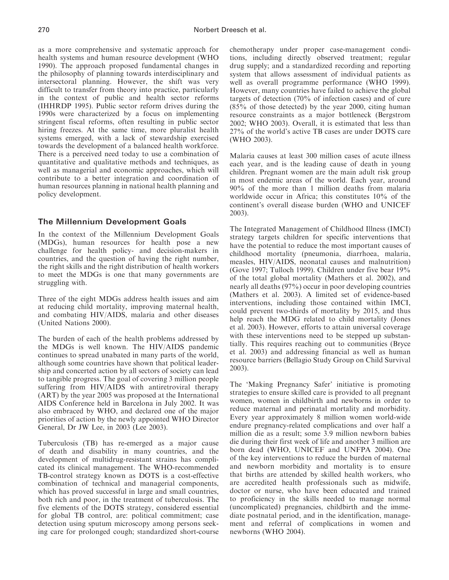as a more comprehensive and systematic approach for health systems and human resource development (WHO 1990). The approach proposed fundamental changes in the philosophy of planning towards interdisciplinary and intersectoral planning. However, the shift was very difficult to transfer from theory into practice, particularly in the context of public and health sector reforms (IHHRDP 1995). Public sector reform drives during the 1990s were characterized by a focus on implementing stringent fiscal reforms, often resulting in public sector hiring freezes. At the same time, more pluralist health systems emerged, with a lack of stewardship exercised towards the development of a balanced health workforce. There is a perceived need today to use a combination of quantitative and qualitative methods and techniques, as well as managerial and economic approaches, which will contribute to a better integration and coordination of human resources planning in national health planning and policy development.

# The Millennium Development Goals

In the context of the Millennium Development Goals (MDGs), human resources for health pose a new challenge for health policy- and decision-makers in countries, and the question of having the right number, the right skills and the right distribution of health workers to meet the MDGs is one that many governments are struggling with.

Three of the eight MDGs address health issues and aim at reducing child mortality, improving maternal health, and combating HIV/AIDS, malaria and other diseases (United Nations 2000).

The burden of each of the health problems addressed by the MDGs is well known. The HIV/AIDS pandemic continues to spread unabated in many parts of the world, although some countries have shown that political leadership and concerted action by all sectors of society can lead to tangible progress. The goal of covering 3 million people suffering from HIV/AIDS with antiretroviral therapy (ART) by the year 2005 was proposed at the International AIDS Conference held in Barcelona in July 2002. It was also embraced by WHO, and declared one of the major priorities of action by the newly appointed WHO Director General, Dr JW Lee, in 2003 (Lee 2003).

Tuberculosis (TB) has re-emerged as a major cause of death and disability in many countries, and the development of multidrug-resistant strains has complicated its clinical management. The WHO-recommended TB-control strategy known as DOTS is a cost-effective combination of technical and managerial components, which has proved successful in large and small countries, both rich and poor, in the treatment of tuberculosis. The five elements of the DOTS strategy, considered essential for global TB control, are: political commitment; case detection using sputum microscopy among persons seeking care for prolonged cough; standardized short-course

chemotherapy under proper case-management conditions, including directly observed treatment; regular drug supply; and a standardized recording and reporting system that allows assessment of individual patients as well as overall programme performance (WHO 1999). However, many countries have failed to achieve the global targets of detection (70% of infection cases) and of cure (85% of those detected) by the year 2000, citing human resource constraints as a major bottleneck (Bergstrom 2002; WHO 2003). Overall, it is estimated that less than 27% of the world's active TB cases are under DOTS care (WHO 2003).

Malaria causes at least 300 million cases of acute illness each year, and is the leading cause of death in young children. Pregnant women are the main adult risk group in most endemic areas of the world. Each year, around 90% of the more than 1 million deaths from malaria worldwide occur in Africa; this constitutes 10% of the continent's overall disease burden (WHO and UNICEF 2003).

The Integrated Management of Childhood Illness (IMCI) strategy targets children for specific interventions that have the potential to reduce the most important causes of childhood mortality (pneumonia, diarrhoea, malaria, measles, HIV/AIDS, neonatal causes and malnutrition) (Gove 1997; Tulloch 1999). Children under five bear 19% of the total global mortality (Mathers et al. 2002), and nearly all deaths (97%) occur in poor developing countries (Mathers et al. 2003). A limited set of evidence-based interventions, including those contained within IMCI, could prevent two-thirds of mortality by 2015, and thus help reach the MDG related to child mortality (Jones et al. 2003). However, efforts to attain universal coverage with these interventions need to be stepped up substantially. This requires reaching out to communities (Bryce et al. 2003) and addressing financial as well as human resource barriers (Bellagio Study Group on Child Survival 2003).

The 'Making Pregnancy Safer' initiative is promoting strategies to ensure skilled care is provided to all pregnant women, women in childbirth and newborns in order to reduce maternal and perinatal mortality and morbidity. Every year approximately 8 million women world-wide endure pregnancy-related complications and over half a million die as a result; some 3.9 million newborn babies die during their first week of life and another 3 million are born dead (WHO, UNICEF and UNFPA 2004). One of the key interventions to reduce the burden of maternal and newborn morbidity and mortality is to ensure that births are attended by skilled health workers, who are accredited health professionals such as midwife, doctor or nurse, who have been educated and trained to proficiency in the skills needed to manage normal (uncomplicated) pregnancies, childbirth and the immediate postnatal period, and in the identification, management and referral of complications in women and newborns (WHO 2004).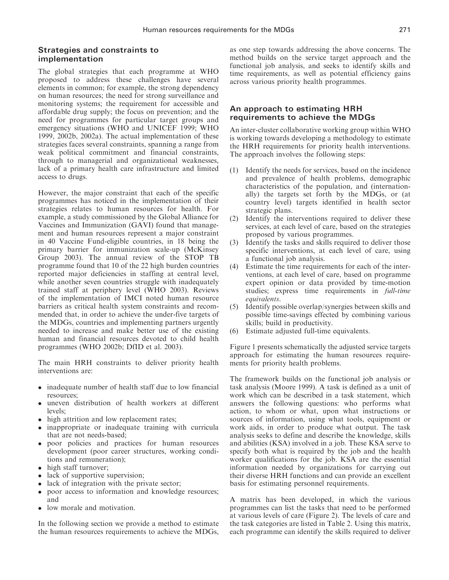#### Strategies and constraints to implementation

The global strategies that each programme at WHO proposed to address these challenges have several elements in common; for example, the strong dependency on human resources; the need for strong surveillance and monitoring systems; the requirement for accessible and affordable drug supply; the focus on prevention; and the need for programmes for particular target groups and emergency situations (WHO and UNICEF 1999; WHO 1999, 2002b, 2002a). The actual implementation of these strategies faces several constraints, spanning a range from weak political commitment and financial constraints, through to managerial and organizational weaknesses, lack of a primary health care infrastructure and limited access to drugs.

However, the major constraint that each of the specific programmes has noticed in the implementation of their strategies relates to human resources for health. For example, a study commissioned by the Global Alliance for Vaccines and Immunization (GAVI) found that management and human resources represent a major constraint in 40 Vaccine Fund-eligible countries, in 18 being the primary barrier for immunization scale-up (McKinsey Group 2003). The annual review of the STOP TB programme found that 10 of the 22 high burden countries reported major deficiencies in staffing at central level, while another seven countries struggle with inadequately trained staff at periphery level (WHO 2003). Reviews of the implementation of IMCI noted human resource barriers as critical health system constraints and recommended that, in order to achieve the under-five targets of the MDGs, countries and implementing partners urgently needed to increase and make better use of the existing human and financial resources devoted to child health programmes (WHO 2002b; DfID et al. 2003).

The main HRH constraints to deliver priority health interventions are:

- inadequate number of health staff due to low financial resources;
- uneven distribution of health workers at different levels;
- high attrition and low replacement rates;
- inappropriate or inadequate training with curricula that are not needs-based;
- poor policies and practices for human resources development (poor career structures, working conditions and remuneration);
- high staff turnover;
- lack of supportive supervision;
- lack of integration with the private sector;
- poor access to information and knowledge resources; and
- low morale and motivation.

In the following section we provide a method to estimate the human resources requirements to achieve the MDGs, as one step towards addressing the above concerns. The method builds on the service target approach and the functional job analysis, and seeks to identify skills and time requirements, as well as potential efficiency gains across various priority health programmes.

## An approach to estimating HRH requirements to achieve the MDGs

An inter-cluster collaborative working group within WHO is working towards developing a methodology to estimate the HRH requirements for priority health interventions. The approach involves the following steps:

- (1) Identify the needs for services, based on the incidence and prevalence of health problems, demographic characteristics of the population, and (internationally) the targets set forth by the MDGs, or (at country level) targets identified in health sector strategic plans.
- (2) Identify the interventions required to deliver these services, at each level of care, based on the strategies proposed by various programmes.
- (3) Identify the tasks and skills required to deliver those specific interventions, at each level of care, using a functional job analysis.
- (4) Estimate the time requirements for each of the interventions, at each level of care, based on programme expert opinion or data provided by time-motion studies; express time requirements in full-time equivalents.
- (5) Identify possible overlap/synergies between skills and possible time-savings effected by combining various skills; build in productivity.
- (6) Estimate adjusted full-time equivalents.

Figure 1 presents schematically the adjusted service targets approach for estimating the human resources requirements for priority health problems.

The framework builds on the functional job analysis or task analysis (Moore 1999). A task is defined as a unit of work which can be described in a task statement, which answers the following questions: who performs what action, to whom or what, upon what instructions or sources of information, using what tools, equipment or work aids, in order to produce what output. The task analysis seeks to define and describe the knowledge, skills and abilities (KSA) involved in a job. These KSA serve to specify both what is required by the job and the health worker qualifications for the job. KSA are the essential information needed by organizations for carrying out their diverse HRH functions and can provide an excellent basis for estimating personnel requirements.

A matrix has been developed, in which the various programmes can list the tasks that need to be performed at various levels of care (Figure 2). The levels of care and the task categories are listed in Table 2. Using this matrix, each programme can identify the skills required to deliver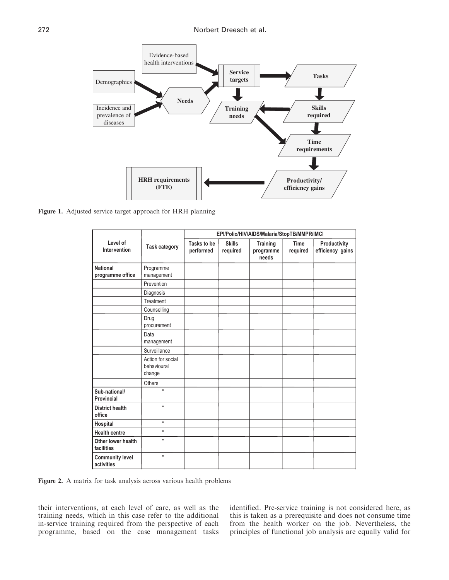

Figure 1. Adjusted service target approach for HRH planning

|                                      |                                            | EPI/Polio/HIV/AIDS/Malaria/StopTB/MMPR/IMCI |                           |                                       |                         |                                  |  |
|--------------------------------------|--------------------------------------------|---------------------------------------------|---------------------------|---------------------------------------|-------------------------|----------------------------------|--|
| Level of<br><b>Intervention</b>      | <b>Task category</b>                       | Tasks to be<br>performed                    | <b>Skills</b><br>required | <b>Training</b><br>programme<br>needs | <b>Time</b><br>required | Productivity<br>efficiency gains |  |
| <b>National</b><br>programme office  | Programme<br>management                    |                                             |                           |                                       |                         |                                  |  |
|                                      | Prevention                                 |                                             |                           |                                       |                         |                                  |  |
|                                      | Diagnosis                                  |                                             |                           |                                       |                         |                                  |  |
|                                      | Treatment                                  |                                             |                           |                                       |                         |                                  |  |
|                                      | Counselling                                |                                             |                           |                                       |                         |                                  |  |
|                                      | Drug<br>procurement                        |                                             |                           |                                       |                         |                                  |  |
|                                      | Data<br>management                         |                                             |                           |                                       |                         |                                  |  |
|                                      | Surveillance                               |                                             |                           |                                       |                         |                                  |  |
|                                      | Action for social<br>behavioural<br>change |                                             |                           |                                       |                         |                                  |  |
|                                      | <b>Others</b>                              |                                             |                           |                                       |                         |                                  |  |
| Sub-national/<br>Provincial          | $\mathbf{u}$                               |                                             |                           |                                       |                         |                                  |  |
| <b>District health</b><br>office     | $\mathbf{u}$                               |                                             |                           |                                       |                         |                                  |  |
| Hospital                             | $\mathbf{u}$                               |                                             |                           |                                       |                         |                                  |  |
| <b>Health centre</b>                 | Ħ                                          |                                             |                           |                                       |                         |                                  |  |
| Other lower health<br>facilities     | $\blacksquare$                             |                                             |                           |                                       |                         |                                  |  |
| <b>Community level</b><br>activities | Ħ                                          |                                             |                           |                                       |                         |                                  |  |

Figure 2. A matrix for task analysis across various health problems

their interventions, at each level of care, as well as the training needs, which in this case refer to the additional in-service training required from the perspective of each programme, based on the case management tasks

identified. Pre-service training is not considered here, as this is taken as a prerequisite and does not consume time from the health worker on the job. Nevertheless, the principles of functional job analysis are equally valid for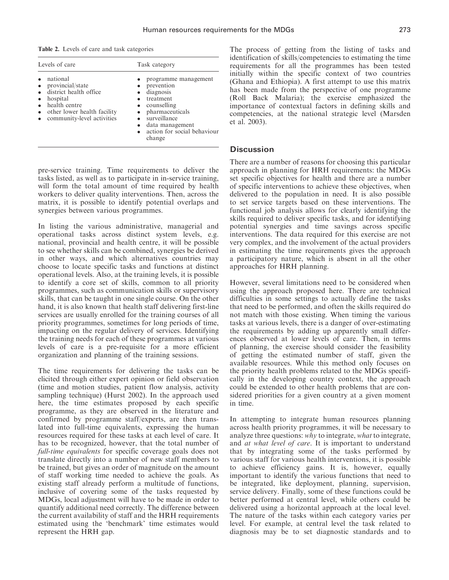Table 2. Levels of care and task categories

| Levels of care                                                                                                                                   | Task category                                                                                                                                                                |  |  |  |
|--------------------------------------------------------------------------------------------------------------------------------------------------|------------------------------------------------------------------------------------------------------------------------------------------------------------------------------|--|--|--|
| national<br>provincial/state<br>district health office<br>hospital<br>health centre<br>other lower health facility<br>community-level activities | programme management<br>prevention<br>diagnosis<br>treatment<br>counselling<br>pharmaceuticals<br>• surveillance<br>data management<br>action for social behaviour<br>change |  |  |  |

pre-service training. Time requirements to deliver the tasks listed, as well as to participate in in-service training, will form the total amount of time required by health workers to deliver quality interventions. Then, across the matrix, it is possible to identify potential overlaps and synergies between various programmes.

In listing the various administrative, managerial and operational tasks across distinct system levels, e.g. national, provincial and health centre, it will be possible to see whether skills can be combined, synergies be derived in other ways, and which alternatives countries may choose to locate specific tasks and functions at distinct operational levels. Also, at the training levels, it is possible to identify a core set of skills, common to all priority programmes, such as communication skills or supervisory skills, that can be taught in one single course. On the other hand, it is also known that health staff delivering first-line services are usually enrolled for the training courses of all priority programmes, sometimes for long periods of time, impacting on the regular delivery of services. Identifying the training needs for each of these programmes at various levels of care is a pre-requisite for a more efficient organization and planning of the training sessions.

The time requirements for delivering the tasks can be elicited through either expert opinion or field observation (time and motion studies, patient flow analysis, activity sampling technique) (Hurst 2002). In the approach used here, the time estimates proposed by each specific programme, as they are observed in the literature and confirmed by programme staff/experts, are then translated into full-time equivalents, expressing the human resources required for these tasks at each level of care. It has to be recognized, however, that the total number of full-time equivalents for specific coverage goals does not translate directly into a number of new staff members to be trained, but gives an order of magnitude on the amount of staff working time needed to achieve the goals. As existing staff already perform a multitude of functions, inclusive of covering some of the tasks requested by MDGs, local adjustment will have to be made in order to quantify additional need correctly. The difference between the current availability of staff and the HRH requirements estimated using the 'benchmark' time estimates would represent the HRH gap.

The process of getting from the listing of tasks and identification of skills/competencies to estimating the time requirements for all the programmes has been tested initially within the specific context of two countries (Ghana and Ethiopia). A first attempt to use this matrix has been made from the perspective of one programme (Roll Back Malaria); the exercise emphasized the importance of contextual factors in defining skills and competencies, at the national strategic level (Marsden et al. 2003).

## **Discussion**

There are a number of reasons for choosing this particular approach in planning for HRH requirements: the MDGs set specific objectives for health and there are a number of specific interventions to achieve these objectives, when delivered to the population in need. It is also possible to set service targets based on these interventions. The functional job analysis allows for clearly identifying the skills required to deliver specific tasks, and for identifying potential synergies and time savings across specific interventions. The data required for this exercise are not very complex, and the involvement of the actual providers in estimating the time requirements gives the approach a participatory nature, which is absent in all the other approaches for HRH planning.

However, several limitations need to be considered when using the approach proposed here. There are technical difficulties in some settings to actually define the tasks that need to be performed, and often the skills required do not match with those existing. When timing the various tasks at various levels, there is a danger of over-estimating the requirements by adding up apparently small differences observed at lower levels of care. Then, in terms of planning, the exercise should consider the feasibility of getting the estimated number of staff, given the available resources. While this method only focuses on the priority health problems related to the MDGs specifically in the developing country context, the approach could be extended to other health problems that are considered priorities for a given country at a given moment in time.

In attempting to integrate human resources planning across health priority programmes, it will be necessary to analyze three questions: why to integrate, what to integrate, and at what level of care. It is important to understand that by integrating some of the tasks performed by various staff for various health interventions, it is possible to achieve efficiency gains. It is, however, equally important to identify the various functions that need to be integrated, like deployment, planning, supervision, service delivery. Finally, some of these functions could be better performed at central level, while others could be delivered using a horizontal approach at the local level. The nature of the tasks within each category varies per level. For example, at central level the task related to diagnosis may be to set diagnostic standards and to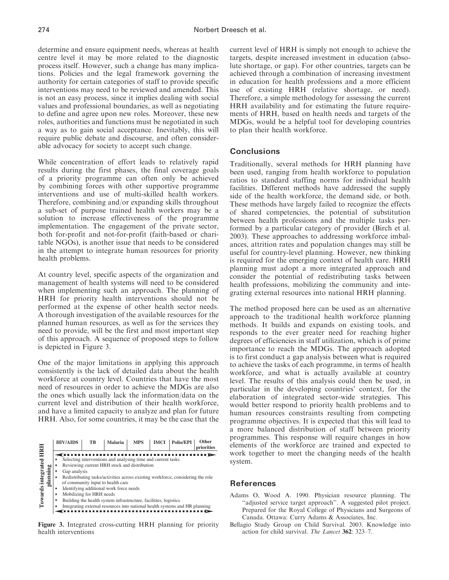determine and ensure equipment needs, whereas at health centre level it may be more related to the diagnostic process itself. However, such a change has many implications. Policies and the legal framework governing the authority for certain categories of staff to provide specific interventions may need to be reviewed and amended. This is not an easy process, since it implies dealing with social values and professional boundaries, as well as negotiating to define and agree upon new roles. Moreover, these new roles, authorities and functions must be negotiated in such a way as to gain social acceptance. Inevitably, this will require public debate and discourse, and often considerable advocacy for society to accept such change.

While concentration of effort leads to relatively rapid results during the first phases, the final coverage goals of a priority programme can often only be achieved by combining forces with other supportive programme interventions and use of multi-skilled health workers. Therefore, combining and/or expanding skills throughout a sub-set of purpose trained health workers may be a solution to increase effectiveness of the programme implementation. The engagement of the private sector, both for-profit and not-for-profit (faith-based or charitable NGOs), is another issue that needs to be considered in the attempt to integrate human resources for priority health problems.

At country level, specific aspects of the organization and management of health systems will need to be considered when implementing such an approach. The planning of HRH for priority health interventions should not be performed at the expense of other health sector needs. A thorough investigation of the available resources for the planned human resources, as well as for the services they need to provide, will be the first and most important step of this approach. A sequence of proposed steps to follow is depicted in Figure 3.

One of the major limitations in applying this approach consistently is the lack of detailed data about the health workforce at country level. Countries that have the most need of resources in order to achieve the MDGs are also the ones which usually lack the information/data on the current level and distribution of their health workforce, and have a limited capacity to analyze and plan for future HRH. Also, for some countries, it may be the case that the

| <b>HRH</b>                     |                  | <b>HIV/AIDS</b> | TB                       | Malaria                                                                                                                                                                                                                                                          | <b>MPS</b> | <b>IMCI</b> | Polio/EPI                                                                                                                                                      | Other<br>priorities |
|--------------------------------|------------------|-----------------|--------------------------|------------------------------------------------------------------------------------------------------------------------------------------------------------------------------------------------------------------------------------------------------------------|------------|-------------|----------------------------------------------------------------------------------------------------------------------------------------------------------------|---------------------|
| Towards integrated<br>planning | ٠<br>٠<br>٠<br>٠ | Gap analysis    | Mobilizing for HRH needs | Selecting interventions and analysing time and current tasks<br>Reviewing current HRH stock and distribution<br>of community input to health care<br>Identifying additional work force needs<br>Building the health system infrastructure, facilities, logistics |            |             | Redistributing tasks/activities across existing workforce, considering the role<br>Integrating external resources into national health systems and HR planning |                     |

Figure 3. Integrated cross-cutting HRH planning for priority health interventions

current level of HRH is simply not enough to achieve the targets, despite increased investment in education (absolute shortage, or gap). For other countries, targets can be achieved through a combination of increasing investment in education for health professions and a more efficient use of existing HRH (relative shortage, or need). Therefore, a simple methodology for assessing the current HRH availability and for estimating the future requirements of HRH, based on health needs and targets of the MDGs, would be a helpful tool for developing countries to plan their health workforce.

## **Conclusions**

Traditionally, several methods for HRH planning have been used, ranging from health workforce to population ratios to standard staffing norms for individual health facilities. Different methods have addressed the supply side of the health workforce, the demand side, or both. These methods have largely failed to recognize the effects of shared competencies, the potential of substitution between health professions and the multiple tasks performed by a particular category of provider (Birch et al. 2003). These approaches to addressing workforce imbalances, attrition rates and population changes may still be useful for country-level planning. However, new thinking is required for the emerging context of health care. HRH planning must adopt a more integrated approach and consider the potential of redistributing tasks between health professions, mobilizing the community and integrating external resources into national HRH planning.

The method proposed here can be used as an alternative approach to the traditional health workforce planning methods. It builds and expands on existing tools, and responds to the ever greater need for reaching higher degrees of efficiencies in staff utilization, which is of prime importance to reach the MDGs. The approach adopted is to first conduct a gap analysis between what is required to achieve the tasks of each programme, in terms of health workforce, and what is actually available at country level. The results of this analysis could then be used, in particular in the developing countries' context, for the elaboration of integrated sector-wide strategies. This would better respond to priority health problems and to human resources constraints resulting from competing programme objectives. It is expected that this will lead to a more balanced distribution of staff between priority programmes. This response will require changes in how elements of the workforce are trained and expected to work together to meet the changing needs of the health system.

#### References

- Adams O, Wood A. 1990. Physician resource planning. The ''adjusted service target approach''. A suggested pilot project. Prepared for the Royal College of Physicians and Surgeons of Canada. Ottawa: Curry Adams & Associates, Inc.
- Bellagio Study Group on Child Survival. 2003. Knowledge into action for child survival. The Lancet 362: 323–7.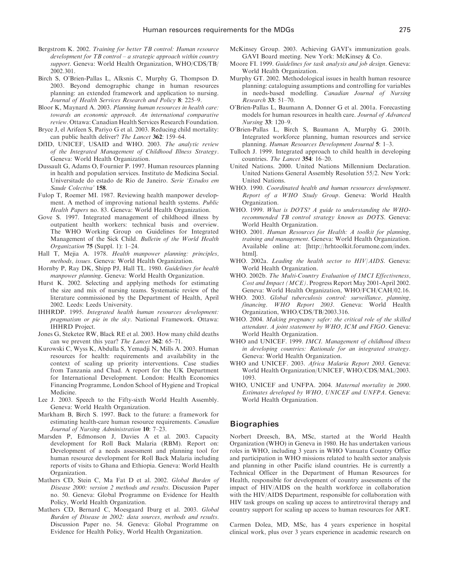- Bergstrom K. 2002. Training for better TB control: Human resource development for TB control – a strategic approach within country support. Geneva: World Health Organization, WHO/CDS/TB/ 2002.301.
- Birch S, O'Brien-Pallas L, Alksnis C, Murphy G, Thompson D. 2003. Beyond demographic change in human resources planning: an extended framework and application to nursing. Journal of Health Services Research and Policy 8: 225–9.
- Bloor K, Maynard A. 2003. Planning human resources in health care: towards an economic approach. An international comparative review. Ottawa: Canadian Health Services Research Foundation.
- Bryce J, el Arifeen S, Pariyo G et al. 2003. Reducing child mortality: can public health deliver? The Lancet 362: 159–64.
- DfID, UNICEF, USAID and WHO. 2003. The analytic review of the Integrated Management of Childhood Illness Strategy. Geneva: World Health Organization.
- Dussault G, Adams O, Fournier P. 1997. Human resources planning in health and population services. Instituto de Medicina Social. Universitade do estado de Rio de Janeiro. Serie 'Estudos em Saude Colectiva' 158.
- Fulop T, Roemer MI. 1987. Reviewing health manpower development. A method of improving national health systems. Public Health Papers no. 83. Geneva: World Health Organization.
- Gove S. 1997. Integrated management of childhood illness by outpatient health workers: technical basis and overview. The WHO Working Group on Guidelines for Integrated Management of the Sick Child. Bulletin of the World Health Organization 75 (Suppl. 1): 1–24.
- Hall T, Meija A, 1978. Health manpower planning: principles, methods, issues. Geneva: World Health Organization.
- Hornby P, Ray DK, Shipp PJ, Hall TL. 1980. Guidelines for health manpower planning. Geneva: World Health Organization.
- Hurst K. 2002. Selecting and applying methods for estimating the size and mix of nursing teams. Systematic review of the literature commissioned by the Department of Health, April 2002. Leeds: Leeds University.
- IHHRDP. 1995. Integrated health human resources development: pragmatism or pie in the sky. National Framework. Ottawa: IHHRD Project.
- Jones G, Steketee RW, Black RE et al. 2003. How many child deaths can we prevent this year? The Lancet 362: 65–71.
- Kurowski C, Wyss K, Abdulla S, Yemadji N, Mills A. 2003. Human resources for health: requirements and availability in the context of scaling up priority interventions. Case studies from Tanzania and Chad. A report for the UK Department for International Development. London: Health Economics Financing Programme, London School of Hygiene and Tropical Medicine.
- Lee J. 2003. Speech to the Fifty-sixth World Health Assembly. Geneva: World Health Organization.
- Markham B, Birch S. 1997. Back to the future: a framework for estimating health-care human resource requirements. Canadian Journal of Nursing Administration 10: 7–23.
- Marsden P, Edmonson J, Davies A et al. 2003. Capacity development for Roll Back Malaria (RBM). Report on: Development of a needs assessment and planning tool for human resource development for Roll Back Malaria including reports of visits to Ghana and Ethiopia. Geneva: World Health Organization.
- Mathers CD, Stein C, Ma Fat D et al. 2002. Global Burden of Disease 2000: version 2 methods and results. Discussion Paper no. 50. Geneva: Global Programme on Evidence for Health Policy, World Health Organization.
- Mathers CD, Bernard C, Moesgaard Iburg et al. 2003. Global Burden of Disease in 2002: data sources, methods and results. Discussion Paper no. 54. Geneva: Global Programme on Evidence for Health Policy, World Health Organization.
- McKinsey Group. 2003. Achieving GAVI's immunization goals. GAVI Board meeting. New York: McKinsey & Co.
- Moore FI. 1999. Guidelines for task analysis and job design. Geneva: World Health Organization.
- Murphy GT. 2002. Methodological issues in health human resource planning: cataloguing assumptions and controlling for variables in needs-based modelling. Canadian Journal of Nursing Research 33: 51–70.
- O'Brien-Pallas L, Baumann A, Donner G et al. 2001a. Forecasting models for human resources in health care. Journal of Advanced Nursing 33: 120–9.
- O'Brien-Pallas L, Birch S, Baumann A, Murphy G. 2001b. Integrated workforce planning, human resources and service planning. Human Resources Development Journal 5: 1–3.
- Tulloch J. 1999. Integrated approach to child health in developing countries. The Lancet 354: 16–20.
- United Nations. 2000. United Nations Millennium Declaration. United Nations General Assembly Resolution 55/2. New York: United Nations.
- WHO. 1990. Coordinated health and human resources development. Report of a WHO Study Group. Geneva: World Health Organization.
- WHO. 1999. What is DOTS? A guide to understanding the WHOrecommended TB control strategy known as DOTS. Geneva: World Health Organization.
- WHO. 2001. Human Resources for Health: A toolkit for planning, training and management. Geneva: World Health Organization. Available online at: [http://hrhtoolkit.forumone.com/index. html].
- WHO. 2002a. Leading the health sector to HIV/AIDS. Geneva: World Health Organization.
- WHO. 2002b. The Multi-Country Evaluation of IMCI Effectiveness, Cost and Impact (MCE). Progress Report May 2001-April 2002. Geneva: World Health Organization, WHO/FCH/CAH/02.16.
- WHO. 2003. Global tuberculosis control: surveillance, planning, financing. WHO Report 2003. Geneva: World Health Organization, WHO/CDS/TB/2003.316.
- WHO. 2004. Making pregnancy safer: the critical role of the skilled attendant. A joint statement by WHO, ICM and FIGO. Geneva: World Health Organization.
- WHO and UNICEF. 1999. IMCI. Management of childhood illness in developing countries: Rationale for an integrated strategy. Geneva: World Health Organization.
- WHO and UNICEF. 2003. Africa Malaria Report 2003. Geneva: World Health Organization/UNICEF, WHO/CDS/MAL/2003. 1093.
- WHO, UNICEF and UNFPA. 2004. Maternal mortality in 2000. Estimates developed by WHO, UNICEF and UNFPA. Geneva: World Health Organization.

## **Biographies**

Norbert Dreesch, BA, MSc, started at the World Health Organization (WHO) in Geneva in 1980. He has undertaken various roles in WHO, including 3 years in WHO Vanuatu Country Office and participation in WHO missions related to health sector analysis and planning in other Pacific island countries. He is currently a Technical Officer in the Department of Human Resources for Health, responsible for development of country assessments of the impact of HIV/AIDS on the health workforce in collaboration with the HIV/AIDS Department, responsible for collaboration with HIV task groups on scaling up access to antiretroviral therapy and country support for scaling up access to human resources for ART.

Carmen Dolea, MD, MSc, has 4 years experience in hospital clinical work, plus over 3 years experience in academic research on